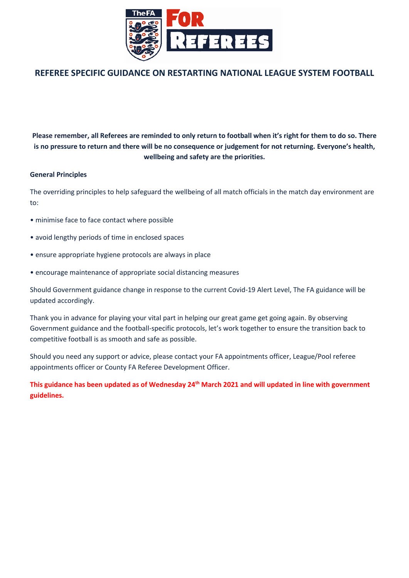

#### **REFEREE SPECIFIC GUIDANCE ON RESTARTING NATIONAL LEAGUE SYSTEM FOOTBALL**

**Please remember, all Referees are reminded to only return to football when it's right for them to do so. There is no pressure to return and there will be no consequence or judgement for not returning. Everyone's health, wellbeing and safety are the priorities.**

#### **General Principles**

The overriding principles to help safeguard the wellbeing of all match officials in the match day environment are to:

- minimise face to face contact where possible
- avoid lengthy periods of time in enclosed spaces
- ensure appropriate hygiene protocols are always in place
- encourage maintenance of appropriate social distancing measures

Should Government guidance change in response to the current Covid-19 Alert Level, The FA guidance will be updated accordingly.

Thank you in advance for playing your vital part in helping our great game get going again. By observing Government guidance and the football-specific protocols, let's work together to ensure the transition back to competitive football is as smooth and safe as possible.

Should you need any support or advice, please contact your FA appointments officer, League/Pool referee appointments officer or County FA Referee Development Officer.

**This guidance has been updated as of Wednesday 24th March 2021 and will updated in line with government guidelines.**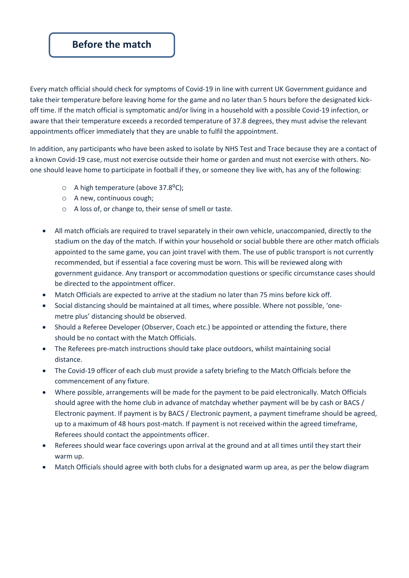### **Before the match**

Every match official should check for symptoms of Covid-19 in line with current UK Government guidance and take their temperature before leaving home for the game and no later than 5 hours before the designated kickoff time. If the match official is symptomatic and/or living in a household with a possible Covid-19 infection, or aware that their temperature exceeds a recorded temperature of 37.8 degrees, they must advise the relevant appointments officer immediately that they are unable to fulfil the appointment.

In addition, any participants who have been asked to isolate by NHS Test and Trace because they are a contact of a known Covid-19 case, must not exercise outside their home or garden and must not exercise with others. Noone should leave home to participate in football if they, or someone they live with, has any of the following:

- $\circ$  A high temperature (above 37.8 $^{\circ}$ C);
- o A new, continuous cough;
- o A loss of, or change to, their sense of smell or taste.
- All match officials are required to travel separately in their own vehicle, unaccompanied, directly to the stadium on the day of the match. If within your household or social bubble there are other match officials appointed to the same game, you can joint travel with them. The use of public transport is not currently recommended, but if essential a face covering must be worn. This will be reviewed along with government guidance. Any transport or accommodation questions or specific circumstance cases should be directed to the appointment officer.
- Match Officials are expected to arrive at the stadium no later than 75 mins before kick off.
- Social distancing should be maintained at all times, where possible. Where not possible, 'onemetre plus' distancing should be observed.
- Should a Referee Developer (Observer, Coach etc.) be appointed or attending the fixture, there should be no contact with the Match Officials.
- The Referees pre-match instructions should take place outdoors, whilst maintaining social distance.
- The Covid-19 officer of each club must provide a safety briefing to the Match Officials before the commencement of any fixture.
- Where possible, arrangements will be made for the payment to be paid electronically. Match Officials should agree with the home club in advance of matchday whether payment will be by cash or BACS / Electronic payment. If payment is by BACS / Electronic payment, a payment timeframe should be agreed, up to a maximum of 48 hours post-match. If payment is not received within the agreed timeframe, Referees should contact the appointments officer.
- Referees should wear face coverings upon arrival at the ground and at all times until they start their warm up.
- Match Officials should agree with both clubs for a designated warm up area, as per the below diagram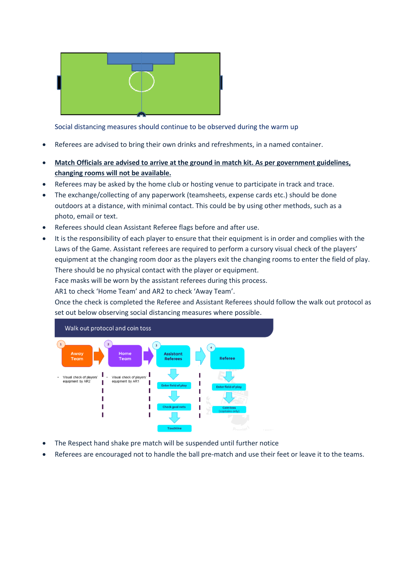

Social distancing measures should continue to be observed during the warm up

- Referees are advised to bring their own drinks and refreshments, in a named container.
- **Match Officials are advised to arrive at the ground in match kit. As per government guidelines, changing rooms will not be available.**
- Referees may be asked by the home club or hosting venue to participate in track and trace.
- The exchange/collecting of any paperwork (teamsheets, expense cards etc.) should be done outdoors at a distance, with minimal contact. This could be by using other methods, such as a photo, email or text.
- Referees should clean Assistant Referee flags before and after use.
- It is the responsibility of each player to ensure that their equipment is in order and complies with the Laws of the Game. Assistant referees are required to perform a cursory visual check of the players' equipment at the changing room door as the players exit the changing rooms to enter the field of play. There should be no physical contact with the player or equipment.

Face masks will be worn by the assistant referees during this process.

AR1 to check 'Home Team' and AR2 to check 'Away Team'.

Once the check is completed the Referee and Assistant Referees should follow the walk out protocol as set out below observing social distancing measures where possible.



- The Respect hand shake pre match will be suspended until further notice
- Referees are encouraged not to handle the ball pre-match and use their feet or leave it to the teams.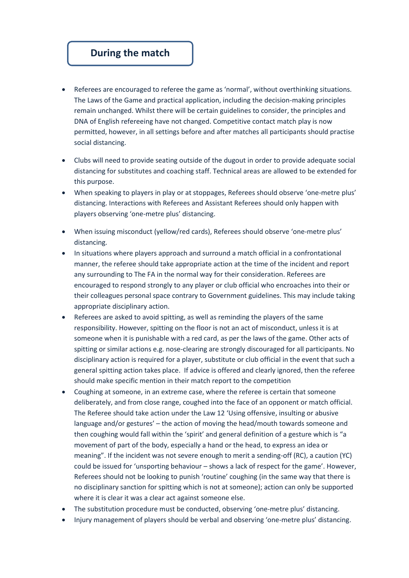## **During the match**

- Referees are encouraged to referee the game as 'normal', without overthinking situations. The Laws of the Game and practical application, including the decision-making principles remain unchanged. Whilst there will be certain guidelines to consider, the principles and DNA of English refereeing have not changed. Competitive contact match play is now permitted, however, in all settings before and after matches all participants should practise social distancing.
- Clubs will need to provide seating outside of the dugout in order to provide adequate social distancing for substitutes and coaching staff. Technical areas are allowed to be extended for this purpose.
- When speaking to players in play or at stoppages, Referees should observe 'one-metre plus' distancing. Interactions with Referees and Assistant Referees should only happen with players observing 'one-metre plus' distancing.
- When issuing misconduct (yellow/red cards), Referees should observe 'one-metre plus' distancing.
- In situations where players approach and surround a match official in a confrontational manner, the referee should take appropriate action at the time of the incident and report any surrounding to The FA in the normal way for their consideration. Referees are encouraged to respond strongly to any player or club official who encroaches into their or their colleagues personal space contrary to Government guidelines. This may include taking appropriate disciplinary action.
- Referees are asked to avoid spitting, as well as reminding the players of the same responsibility. However, spitting on the floor is not an act of misconduct, unless it is at someone when it is punishable with a red card, as per the laws of the game. Other acts of spitting or similar actions e.g. nose-clearing are strongly discouraged for all participants. No disciplinary action is required for a player, substitute or club official in the event that such a general spitting action takes place. If advice is offered and clearly ignored, then the referee should make specific mention in their match report to the competition
- Coughing at someone, in an extreme case, where the referee is certain that someone deliberately, and from close range, coughed into the face of an opponent or match official. The Referee should take action under the Law 12 'Using offensive, insulting or abusive language and/or gestures' – the action of moving the head/mouth towards someone and then coughing would fall within the 'spirit' and general definition of a gesture which is "a movement of part of the body, especially a hand or the head, to express an idea or meaning". If the incident was not severe enough to merit a sending-off (RC), a caution (YC) could be issued for 'unsporting behaviour – shows a lack of respect for the game'. However, Referees should not be looking to punish 'routine' coughing (in the same way that there is no disciplinary sanction for spitting which is not at someone); action can only be supported where it is clear it was a clear act against someone else.
- The substitution procedure must be conducted, observing 'one-metre plus' distancing.
- Injury management of players should be verbal and observing 'one-metre plus' distancing.